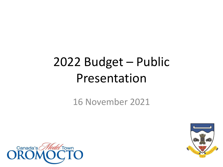### 2022 Budget – Public Presentation

16 November 2021



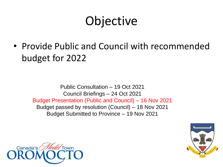#### **Objective**

• Provide Public and Council with recommended budget for 2022

Public Consultation – 19 Oct 2021 Council Briefings – 24 Oct 2021 Budget Presentation (Public and Council) – 16 Nov 2021 Budget passed by resolution (Council) – 18 Nov 2021 Budget Submitted to Province – 19 Nov 2021



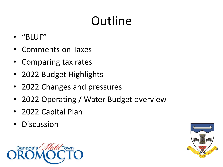## **Outline**

- "BLUF"
- Comments on Taxes
- Comparing tax rates
- 2022 Budget Highlights
- 2022 Changes and pressures
- 2022 Operating / Water Budget overview
- 2022 Capital Plan
- Discussion



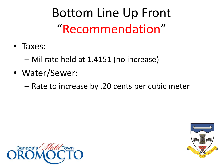Bottom Line Up Front "Recommendation"

• Taxes:

– Mil rate held at 1.4151 (no increase)

- Water/Sewer:
	- Rate to increase by .20 cents per cubic meter



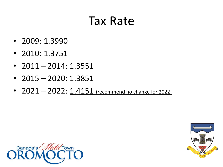#### Tax Rate

- 2009: 1.3990
- 2010: 1.3751
- $2011 2014$ : 1.3551
- 2015 2020: 1.3851
- $2021 2022$ :  $1.4151$  (recommend no change for 2022)



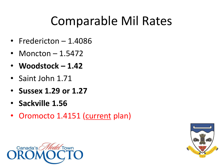#### Comparable Mil Rates

- Fredericton 1.4086
- Moncton 1.5472
- **Woodstock – 1.42**
- Saint John 1.71
- **Sussex 1.29 or 1.27**
- **Sackville 1.56**
- Oromocto 1.4151 (current plan)



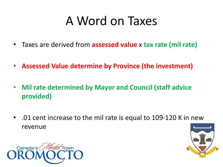#### A Word on Taxes

- Taxes are derived from **assessed value** x **tax rate (mil rate)**
- **Assessed Value determine by Province (the investment)**
- **Mil rate determined by Mayor and Council (staff advice provided)**
- .01 cent increase to the mil rate is equal to 109-120 K in new revenue



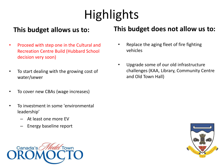# **Highlights**

#### **This budget allows us to:**

- Proceed with step one in the Cultural and Recreation Centre Build (Hubbard School decision very soon)
- To start dealing with the growing cost of water/sewer
- To cover new CBAs (wage increases)
- To investment in some 'environmental leadership'
	- At least one more EV
	- Energy baseline report



#### **This budget does not allow us to:**

- Replace the aging fleet of fire fighting vehicles
- Upgrade some of our old infrastructure challenges (KAA, Library, Community Centre and Old Town Hall)

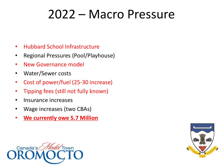#### 2022 – Macro Pressure

- Hubbard School Infrastructure
- Regional Pressures (Pool/Playhouse)
- New Governance model
- Water/Sewer costs
- Cost of power/fuel (25-30 increase)
- Tipping fees (still not fully known)
- Insurance increases
- Wage increases (two CBAs)
- **We currently owe 5.7 Million**



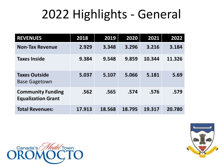#### 2022 Highlights - General

| <b>REVENUES</b>                                       | 2018   | 2019   | 2020   | 2021   | 2022   |
|-------------------------------------------------------|--------|--------|--------|--------|--------|
| <b>Non-Tax Revenue</b>                                | 2.929  | 3.348  | 3.296  | 3.216  | 3.184  |
| <b>Taxes Inside</b>                                   | 9.384  | 9.548  | 9.859  | 10.344 | 11.326 |
| <b>Taxes Outside</b><br><b>Base Gagetown</b>          | 5.037  | 5.107  | 5.066  | 5.181  | 5.69   |
| <b>Community Funding</b><br><b>Equalization Grant</b> | .562   | .565   | .574   | .576   | .579   |
| <b>Total Revenues:</b>                                | 17.913 | 18.568 | 18.795 | 19.317 | 20.780 |



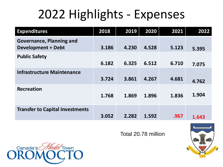### 2022 Highlights - Expenses

| <b>Expenditures</b>                                          | 2018  | 2019  | 2020  | 2021  | 2022  |
|--------------------------------------------------------------|-------|-------|-------|-------|-------|
| <b>Governance, Planning and</b><br><b>Development + Debt</b> | 3.186 | 4.230 | 4.528 | 5.123 | 5.395 |
| <b>Public Safety</b>                                         | 6.182 | 6.325 | 6.512 | 6.710 | 7.075 |
| <b>Infrastructure Maintenance</b>                            | 3.724 | 3.861 | 4.267 | 4.681 | 4.762 |
| <b>Recreation</b>                                            | 1.768 | 1.869 | 1.896 | 1.836 | 1.904 |
| <b>Transfer to Capital Investments</b>                       | 3.052 | 2.282 | 1.592 | .967  | 1.643 |

Total 20.78 million



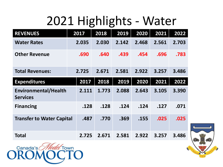#### 2021 Highlights - Water

| <b>REVENUES</b>                                | 2017  | 2018  | 2019  | 2020  | 2021  | 2022  |
|------------------------------------------------|-------|-------|-------|-------|-------|-------|
| <b>Water Rates</b>                             | 2.035 | 2.030 | 2.142 | 2.468 | 2.561 | 2.703 |
| <b>Other Revenue</b>                           | .690  | .640  | .439  | .454  | .696  | .783  |
| <b>Total Revenues:</b>                         | 2.725 | 2.671 | 2.581 | 2.922 | 3.257 | 3.486 |
| <b>Expenditures</b>                            | 2017  | 2018  | 2019  | 2020  | 2021  | 2022  |
| <b>Environmental/Health</b><br><b>Services</b> | 2.111 | 1.773 | 2.088 | 2.643 | 3.105 | 3.390 |
| <b>Financing</b>                               | .128  | .128  | .124  | .124  | .127  | .071  |
| <b>Transfer to Water Capital</b>               | .487  | .770  | .369  | .155  | .025  | .025  |
| Total                                          | 2.725 | 2.671 | 2.581 | 2.922 | 3.257 | 3.486 |



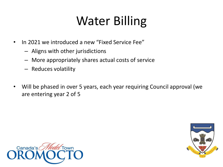### Water Billing

- In 2021 we introduced a new "Fixed Service Fee"
	- Aligns with other jurisdictions
	- More appropriately shares actual costs of service
	- Reduces volatility
- Will be phased in over 5 years, each year requiring Council approval (we are entering year 2 of 5



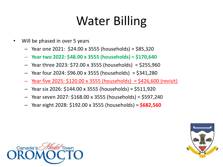#### Water Billing

- Will be phased in over 5 years
	- Year one 2021: \$24.00 x 3555 (households) = \$85,320
	- **Year two 2022: \$48.00 x 3555 (households) = \$170,640**
	- Year three 2023:  $$72.00 \times 3555$  (households) = \$255,960
	- Year four 2024: \$96.00 x 3555 (households) = \$341,280
	- Year five 2025:  $$120.00 \times 3555$  (households) =  $$426,600$  (revisit)
	- Year six 2026: \$144.00 x 3555 (households) = \$511,920
	- Year seven 2027: \$168.00 x 3555 (households) = \$597,240
	- Year eight 2028: \$192.00 x 3555 (households) = **\$682,560**



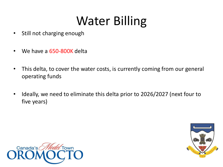#### Water Billing

- Still not charging enough
- We have a 650-800K delta
- This delta, to cover the water costs, is currently coming from our general operating funds
- Ideally, we need to eliminate this delta prior to 2026/2027 (next four to five years)



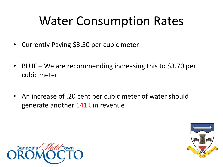#### Water Consumption Rates

- Currently Paying \$3.50 per cubic meter
- BLUF We are recommending increasing this to \$3.70 per cubic meter
- An increase of .20 cent per cubic meter of water should generate another 141K in revenue



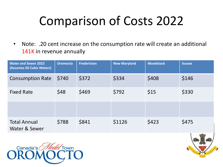### Comparison of Costs 2022

• Note: .20 cent increase on the consumption rate will create an additional 141K in revenue annually

| <b>Water and Sewer 2022</b><br>(Assumes 50 Cubic Meters) | <b>Oromocto</b> | <b>Fredericton</b> | <b>New Maryland</b> | <b>Woodstock</b> | <b>Sussex</b> |
|----------------------------------------------------------|-----------------|--------------------|---------------------|------------------|---------------|
| <b>Consumption Rate</b>                                  | \$740           | \$372              | \$334               | \$408            | \$146         |
| <b>Fixed Rate</b>                                        | \$48            | \$469              | \$792               | \$15             | \$330         |
|                                                          |                 |                    |                     |                  |               |
| <b>Total Annual</b><br>Water & Sewer                     | \$788           | \$841              | \$1126              | \$423            | \$475         |



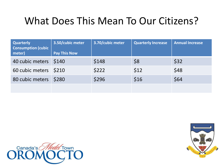#### What Does This Mean To Our Citizens?

| <b>Quarterly</b><br><b>Consumption (cubic</b><br>meter) | 3.50/cubic meter<br><b>Pay This Now</b> | 3.70/cubic meter | <b>Quarterly Increase</b> | <b>Annual Increase</b> |
|---------------------------------------------------------|-----------------------------------------|------------------|---------------------------|------------------------|
| 40 cubic meters \$140                                   |                                         | \$148            | \$8                       | \$32                   |
| 60 cubic meters \$210                                   |                                         | \$222            | \$12                      | \$48                   |
| 80 cubic meters                                         | \$280                                   | \$296            | \$16                      | \$64                   |
|                                                         |                                         |                  |                           |                        |



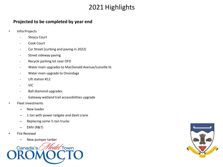#### 2021 Highlights

#### **Projected to be completed by year end**

- Infra Projects
	- **Steacy Court**
	- Cook Court
	- Cyr Street (curbing and paving in 2022)
	- Street sideway paving
	- Recycle parking lot near OFD
	- Water main upgrades to MacDonald Avenue/Loisville St.
	- Water main upgrade to Onondaga
	- Lift station #12
	- VIC
	- Ball diamond upgrades
	- Gateway wetland trail accessibilities upgrade
	- Fleet investments
		- New loader
		- 1 ton with power tailgate and davit crane
		- Replacing some ½ ton trucks
		- EMV (R&T)
- Fire Renewal
	- New pumper tanker



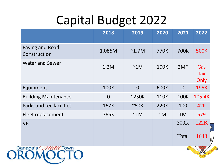#### Capital Budget 2022

|                                 | 2018           | 2019            | 2020        | 2021           | 2022               |  |
|---------------------------------|----------------|-----------------|-------------|----------------|--------------------|--|
| Paving and Road<br>Construction | 1.085M         | $^{\sim}$ 1.7M  | 770K        | <b>700K</b>    | <b>500K</b>        |  |
| <b>Water and Sewer</b>          | 1.2M           | $~^{\sim}$ 1M   | <b>100K</b> | $2M*$          | Gas<br>Tax<br>Only |  |
| Equipment                       | <b>100K</b>    | $\overline{0}$  | <b>600K</b> | $\overline{0}$ | <b>195K</b>        |  |
| <b>Building Maintenance</b>     | $\overline{0}$ | $~^{\sim}$ 250K | <b>110K</b> | <b>100K</b>    | 105.4K             |  |
| Parks and rec facilities        | 167K           | $~\sim$ 50K     | <b>220K</b> | 100            | 42K                |  |
| Fleet replacement               | 765K           | $~\sim$ 1M      | 1M          | 1M             | 679                |  |
| <b>VIC</b>                      |                |                 |             | 300K           | 122K               |  |
|                                 |                |                 |             | Total          | 1643               |  |
| anada's <i>O'l lodd</i> Town'   |                |                 |             |                |                    |  |

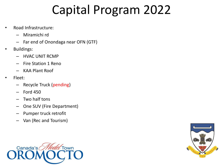#### Capital Program 2022

- Road Infrastructure:
	- Miramichi rd
	- Far end of Onondaga near OFN (GTF)
- Buildings:
	- HVAC UNIT RCMP
	- Fire Station 1 Reno
	- KAA Plant Roof
- Fleet:
	- Recycle Truck (pending)
	- Ford 450
	- Two half tons
	- One SUV (Fire Department)
	- Pumper truck retrofit
	- Van (Rec and Tourism)



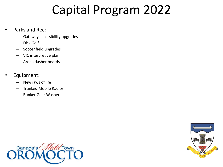#### Capital Program 2022

- Parks and Rec:
	- Gateway accessibility upgrades
	- Disk Golf
	- Soccer field upgrades
	- VIC interpretive plan
	- Arena dasher boards
- Equipment:
	- New jaws of life
	- Trunked Mobile Radios
	- Bunker Gear Washer



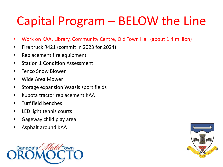### Capital Program – BELOW the Line

- Work on KAA, Library, Community Centre, Old Town Hall (about 1.4 million)
- Fire truck R421 (commit in 2023 for 2024)
- Replacement fire equipment
- Station 1 Condition Assessment
- Tenco Snow Blower
- Wide Area Mower
- Storage expansion Waasis sport fields
- Kubota tractor replacement KAA
- Turf field benches
- LED light tennis courts
- Gageway child play area
- Asphalt around KAA



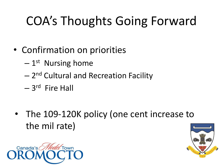# COA's Thoughts Going Forward

- Confirmation on priorities
	- $-1<sup>st</sup>$  Nursing home
	- $-$  2<sup>nd</sup> Cultural and Recreation Facility
	- 3<sup>rd</sup> Fire Hall
- The 109-120K policy (one cent increase to the mil rate)



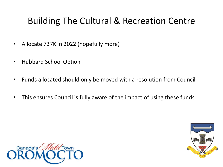#### Building The Cultural & Recreation Centre

- Allocate 737K in 2022 (hopefully more)
- Hubbard School Option
- Funds allocated should only be moved with a resolution from Council
- This ensures Council is fully aware of the impact of using these funds



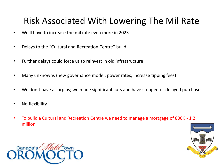#### Risk Associated With Lowering The Mil Rate

- We'll have to increase the mil rate even more in 2023
- Delays to the "Cultural and Recreation Centre" build
- Further delays could force us to reinvest in old infrastructure
- Many unknowns (new governance model, power rates, increase tipping fees)
- We don't have a surplus; we made significant cuts and have stopped or delayed purchases
- No flexibility
- To build a Cultural and Recreation Centre we need to manage a mortgage of 800K 1.2 million



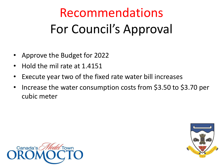# Recommendations For Council's Approval

- Approve the Budget for 2022
- Hold the mil rate at 1.4151
- Execute year two of the fixed rate water bill increases
- Increase the water consumption costs from \$3.50 to \$3.70 per cubic meter



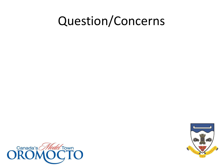#### Question/Concerns